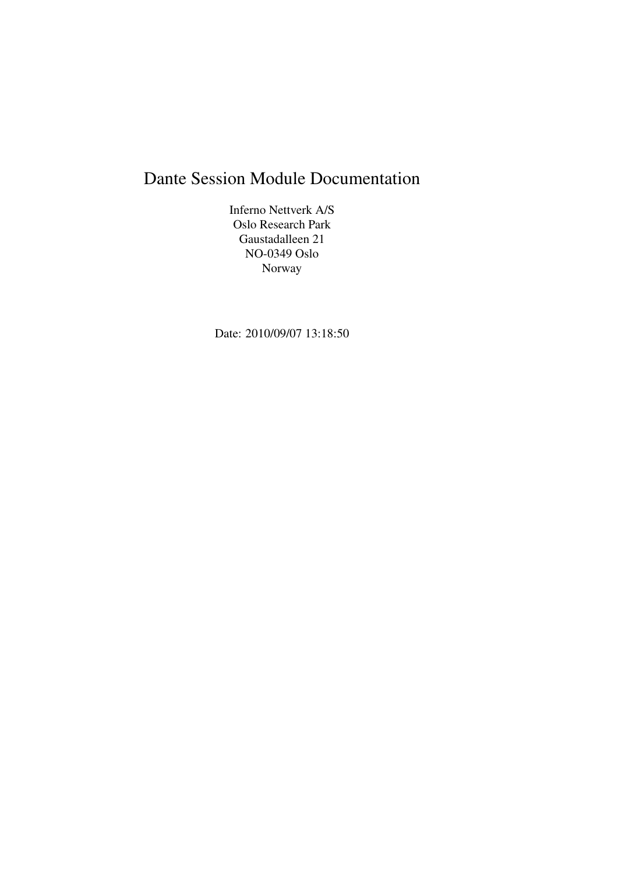# Dante Session Module Documentation

Inferno Nettverk A/S Oslo Research Park Gaustadalleen 21 NO-0349 Oslo Norway

Date: 2010/09/07 13:18:50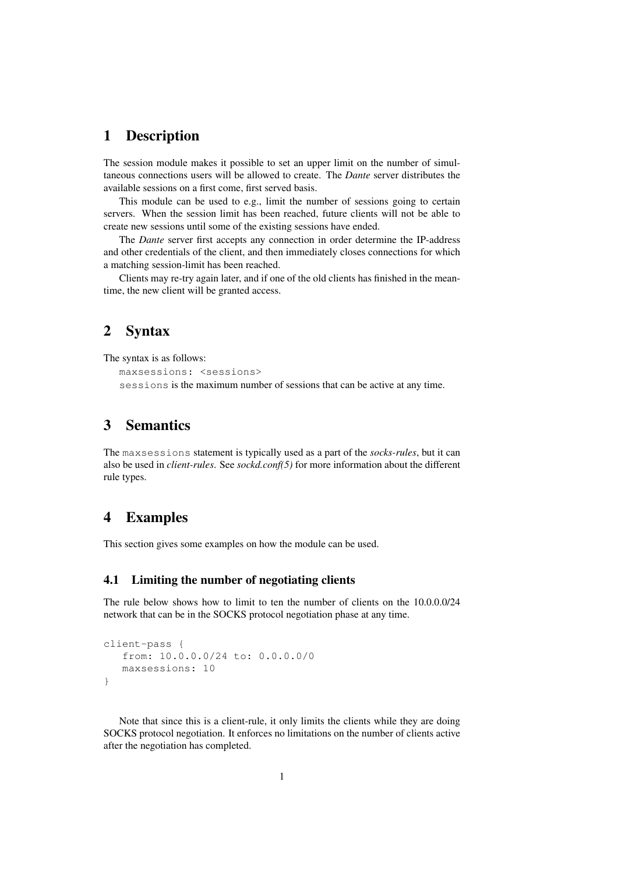#### 1 Description

The session module makes it possible to set an upper limit on the number of simultaneous connections users will be allowed to create. The *Dante* server distributes the available sessions on a first come, first served basis.

This module can be used to e.g., limit the number of sessions going to certain servers. When the session limit has been reached, future clients will not be able to create new sessions until some of the existing sessions have ended.

The *Dante* server first accepts any connection in order determine the IP-address and other credentials of the client, and then immediately closes connections for which a matching session-limit has been reached.

Clients may re-try again later, and if one of the old clients has finished in the meantime, the new client will be granted access.

## 2 Syntax

The syntax is as follows:

```
maxsessions: <sessions>
sessions is the maximum number of sessions that can be active at any time.
```
## 3 Semantics

The maxsessions statement is typically used as a part of the *socks-rules*, but it can also be used in *client-rules*. See *sockd.conf(5)* for more information about the different rule types.

### 4 Examples

This section gives some examples on how the module can be used.

#### 4.1 Limiting the number of negotiating clients

The rule below shows how to limit to ten the number of clients on the 10.0.0.0/24 network that can be in the SOCKS protocol negotiation phase at any time.

```
client-pass {
   from: 10.0.0.0/24 to: 0.0.0.0/0
   maxsessions: 10
}
```
Note that since this is a client-rule, it only limits the clients while they are doing SOCKS protocol negotiation. It enforces no limitations on the number of clients active after the negotiation has completed.